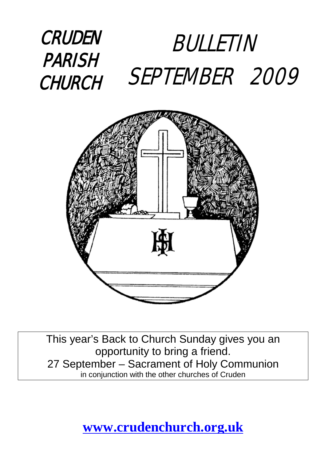



This year's Back to Church Sunday gives you an opportunity to bring a friend. 27 September – Sacrament of Holy Communion in conjunction with the other churches of Cruden

**[www.crudenchurch.org.uk](http://www.crudenchurch.org.uk/)**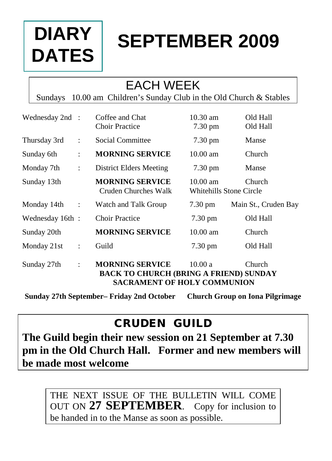# **DIARY DATES**

# **SEPTEMBER 2009**

### EACH WEEK

Sundays 10.00 am Children's Sunday Club in the Old Church & Stables

| Wednesday 2nd : |                      | Coffee and Chat<br><b>Choir Practice</b>                                                                                          | $10.30$ am<br>$7.30 \text{ pm}$                                | Old Hall<br>Old Hall |
|-----------------|----------------------|-----------------------------------------------------------------------------------------------------------------------------------|----------------------------------------------------------------|----------------------|
| Thursday 3rd    | $\ddot{\phantom{a}}$ | Social Committee                                                                                                                  | 7.30 pm                                                        | Manse                |
| Sunday 6th      | $\ddot{\cdot}$       | <b>MORNING SERVICE</b>                                                                                                            | $10.00 \text{ am}$                                             | Church               |
| Monday 7th      | $\ddot{\cdot}$       | District Elders Meeting                                                                                                           | $7.30 \text{ pm}$                                              | Manse                |
| Sunday 13th     |                      | <b>MORNING SERVICE</b><br>Cruden Churches Walk                                                                                    | $10.00 \text{ am}$<br>Church<br><b>Whitehills Stone Circle</b> |                      |
| Monday 14th     | $\ddot{\phantom{a}}$ | Watch and Talk Group                                                                                                              | $7.30 \text{ pm}$                                              | Main St., Cruden Bay |
| Wednesday 16th: |                      | <b>Choir Practice</b>                                                                                                             | $7.30 \text{ pm}$                                              | Old Hall             |
| Sunday 20th     |                      | <b>MORNING SERVICE</b>                                                                                                            | $10.00$ am                                                     | Church               |
| Monday 21st     | $\ddot{\cdot}$       | Guild                                                                                                                             | $7.30 \text{ pm}$                                              | Old Hall             |
| Sunday 27th     | $\ddot{\cdot}$       | <b>MORNING SERVICE</b><br>10.00a<br>Church<br><b>BACK TO CHURCH (BRING A FRIEND) SUNDAY</b><br><b>SACRAMENT OF HOLY COMMUNION</b> |                                                                |                      |

**Sunday 27th September– Friday 2nd October Church Group on Iona Pilgrimage**

#### CRUDEN GUILD

**The Guild begin their new session on 21 September at 7.30 pm in the Old Church Hall. Former and new members will be made most welcome**

THE NEXT ISSUE OF THE BULLETIN WILL COME OUT ON **27 SEPTEMBER**. Copy for inclusion to be handed in to the Manse as soon as possible.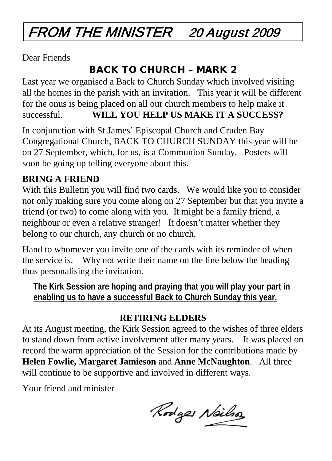# FROM THE MINISTER 20 August 2009

Dear Friends

#### BACK TO CHURCH – MARK 2

Last year we organised a Back to Church Sunday which involved visiting all the homes in the parish with an invitation. This year it will be different for the onus is being placed on all our church members to help make it successful. **WILL YOU HELP US MAKE IT A SUCCESS?**

In conjunction with St James' Episcopal Church and Cruden Bay Congregational Church, BACK TO CHURCH SUNDAY this year will be on 27 September, which, for us, is a Communion Sunday. Posters will soon be going up telling everyone about this.

#### **BRING A FRIEND**

With this Bulletin you will find two cards. We would like you to consider not only making sure you come along on 27 September but that you invite a friend (or two) to come along with you. It might be a family friend, a neighbour or even a relative stranger! It doesn't matter whether they belong to our church, any church or no church.

Hand to whomever you invite one of the cards with its reminder of when the service is. Why not write their name on the line below the heading thus personalising the invitation.

**The Kirk Session are hoping and praying that you will play your part in enabling us to have a successful Back to Church Sunday this year.**

#### **RETIRING ELDERS**

At its August meeting, the Kirk Session agreed to the wishes of three elders to stand down from active involvement after many years. It was placed on record the warm appreciation of the Session for the contributions made by **Helen Fowlie, Margaret Jamieson** and **Anne McNaughton**. All three will continue to be supportive and involved in different ways.

Your friend and minister

Rodges Neils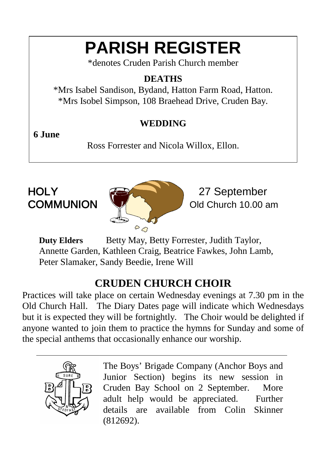# **PARISH REGISTER**

\*denotes Cruden Parish Church member

#### **DEATHS**

\*Mrs Isabel Sandison, Bydand, Hatton Farm Road, Hatton. \*Mrs Isobel Simpson, 108 Braehead Drive, Cruden Bay.

#### **WEDDING**

#### **6 June**

Ross Forrester and Nicola Willox, Ellon.



Old Church 10.00 am

**Duty Elders** Betty May, Betty Forrester, Judith Taylor, Annette Garden, Kathleen Craig, Beatrice Fawkes, John Lamb, Peter Slamaker, Sandy Beedie, Irene Will

#### **CRUDEN CHURCH CHOIR**

Practices will take place on certain Wednesday evenings at 7.30 pm in the Old Church Hall. The Diary Dates page will indicate which Wednesdays but it is expected they will be fortnightly. The Choir would be delighted if anyone wanted to join them to practice the hymns for Sunday and some of the special anthems that occasionally enhance our worship.



The Boys' Brigade Company (Anchor Boys and Junior Section) begins its new session in Cruden Bay School on 2 September. More adult help would be appreciated. Further details are available from Colin Skinner (812692).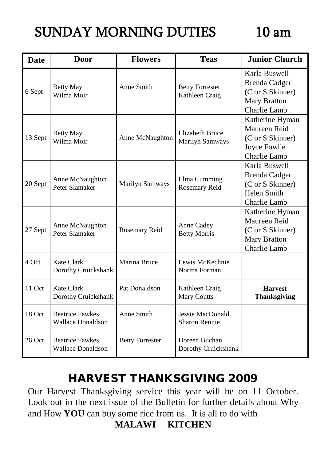## SUNDAY MORNING DUTIES 10 am

| <b>Date</b> | Door                                               | <b>Flowers</b>         | <b>Teas</b>                                      | <b>Junior Church</b>                                                                             |
|-------------|----------------------------------------------------|------------------------|--------------------------------------------------|--------------------------------------------------------------------------------------------------|
| 6 Sept      | <b>Betty May</b><br>Wilma Moir                     | Anne Smith             | <b>Betty Forrester</b><br>Kathleen Craig         | Karla Buswell<br><b>Brenda Cadger</b><br>(C or S Skinner)<br><b>Mary Bratton</b><br>Charlie Lamb |
| 13 Sept     | <b>Betty May</b><br>Wilma Moir                     | Anne McNaughton        | <b>Elizabeth Bruce</b><br><b>Marilyn Samways</b> | Katherine Hyman<br>Maureen Reid<br>(C or S Skinner)<br>Joyce Fowlie<br>Charlie Lamb              |
| 20 Sept     | Anne McNaughton<br>Peter Slamaker                  | Marilyn Samways        | Elma Cumming<br>Rosemary Reid                    | Karla Buswell<br><b>Brenda Cadger</b><br>(C or S Skinner)<br><b>Helen Smith</b><br>Charlie Lamb  |
| 27 Sept     | Anne McNaughton<br>Peter Slamaker                  | Rosemary Reid          | Anne Cadey<br><b>Betty Morris</b>                | Katherine Hyman<br>Maureen Reid<br>(C or S Skinner)<br><b>Mary Bratton</b><br>Charlie Lamb       |
| 4 Oct       | Kate Clark<br>Dorothy Cruickshank                  | Marina Bruce           | Lewis McKechnie<br>Norma Forman                  |                                                                                                  |
| 11 Oct      | Kate Clark<br>Dorothy Cruickshank                  | Pat Donaldson          | Kathleen Craig<br><b>Mary Coutts</b>             | <b>Harvest</b><br><b>Thanksgiving</b>                                                            |
| 18 Oct      | <b>Beatrice Fawkes</b><br><b>Wallace Donaldson</b> | Anne Smith             | Jessie MacDonald<br><b>Sharon Rennie</b>         |                                                                                                  |
| $26$ Oct    | <b>Beatrice Fawkes</b><br><b>Wallace Donaldson</b> | <b>Betty Forrester</b> | Doreen Buchan<br>Dorothy Cruickshank             |                                                                                                  |

#### HARVEST THANKSGIVING 2009

Our Harvest Thanksgiving service this year will be on 11 October. Look out in the next issue of the Bulletin for further details about Why and How **YOU** can buy some rice from us. It is all to do with

**MALAWI KITCHEN**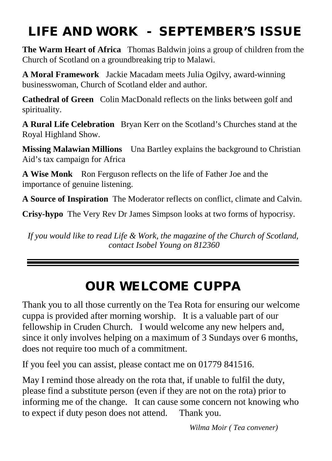## LIFE AND WORK - SEPTEMBER'S ISSUE

**The Warm Heart of Africa** Thomas Baldwin joins a group of children from the Church of Scotland on a groundbreaking trip to Malawi.

**A Moral Framework** Jackie Macadam meets Julia Ogilvy, award-winning businesswoman, Church of Scotland elder and author.

**Cathedral of Green** Colin MacDonald reflects on the links between golf and spirituality.

**A Rural Life Celebration** Bryan Kerr on the Scotland's Churches stand at the Royal Highland Show.

**Missing Malawian Millions** Una Bartley explains the background to Christian Aid's tax campaign for Africa

**A Wise Monk** Ron Ferguson reflects on the life of Father Joe and the importance of genuine listening.

**A Source of Inspiration** The Moderator reflects on conflict, climate and Calvin.

**Crisy-hypo** The Very Rev Dr James Simpson looks at two forms of hypocrisy.

*If you would like to read Life & Work, the magazine of the Church of Scotland, contact Isobel Young on 812360*

### OUR WELCOME CUPPA

Thank you to all those currently on the Tea Rota for ensuring our welcome cuppa is provided after morning worship. It is a valuable part of our fellowship in Cruden Church. I would welcome any new helpers and, since it only involves helping on a maximum of 3 Sundays over 6 months, does not require too much of a commitment.

If you feel you can assist, please contact me on 01779 841516.

May I remind those already on the rota that, if unable to fulfil the duty, please find a substitute person (even if they are not on the rota) prior to informing me of the change. It can cause some concern not knowing who to expect if duty peson does not attend. Thank you.

*Wilma Moir ( Tea convener)*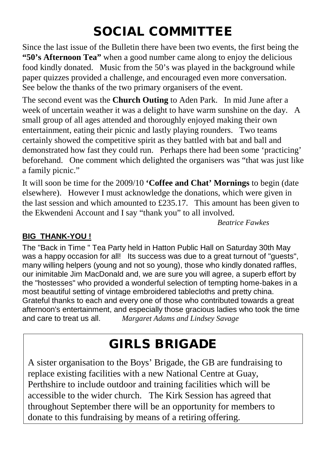## SOCIAL COMMITTEE

Since the last issue of the Bulletin there have been two events, the first being the **"50's Afternoon Tea"** when a good number came along to enjoy the delicious food kindly donated. Music from the 50's was played in the background while paper quizzes provided a challenge, and encouraged even more conversation. See below the thanks of the two primary organisers of the event.

The second event was the **Church Outing** to Aden Park. In mid June after a week of uncertain weather it was a delight to have warm sunshine on the day. A small group of all ages attended and thoroughly enjoyed making their own entertainment, eating their picnic and lastly playing rounders. Two teams certainly showed the competitive spirit as they battled with bat and ball and demonstrated how fast they could run. Perhaps there had been some 'practicing' beforehand. One comment which delighted the organisers was "that was just like a family picnic."

It will soon be time for the 2009/10 **'Coffee and Chat' Mornings** to begin (date elsewhere). However I must acknowledge the donations, which were given in the last session and which amounted to £235.17. This amount has been given to the Ekwendeni Account and I say "thank you" to all involved.

*Beatrice Fawkes*

#### **BIG THANK-YOU !**

The "Back in Time " Tea Party held in Hatton Public Hall on Saturday 30th May was a happy occasion for all! Its success was due to a great turnout of "guests", many willing helpers (young and not so young), those who kindly donated raffles, our inimitable Jim MacDonald and, we are sure you will agree, a superb effort by the "hostesses" who provided a wonderful selection of tempting home-bakes in a most beautiful setting of vintage embroidered tablecloths and pretty china. Grateful thanks to each and every one of those who contributed towards a great afternoon's entertainment, and especially those gracious ladies who took the time and care to treat us all. *Margaret Adams and Lindsey Savage*

#### GIRLS BRIGADE

A sister organisation to the Boys' Brigade, the GB are fundraising to replace existing facilities with a new National Centre at Guay, Perthshire to include outdoor and training facilities which will be accessible to the wider church. The Kirk Session has agreed that throughout September there will be an opportunity for members to donate to this fundraising by means of a retiring offering.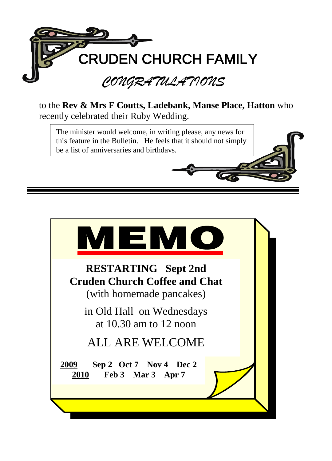

to the **Rev & Mrs F Coutts, Ladebank, Manse Place, Hatton** who recently celebrated their Ruby Wedding.

The minister would welcome, in writing please, any news for this feature in the Bulletin. He feels that it should not simply be a list of anniversaries and birthdays.

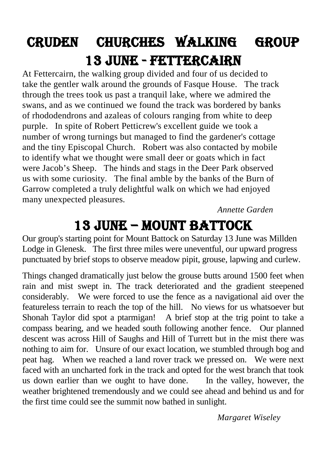# Cruden CHURCHes WALKing group 13 jUNE - Fettercairn

At Fettercairn, the walking group divided and four of us decided to take the gentler walk around the grounds of Fasque House. The track through the trees took us past a tranquil lake, where we admired the swans, and as we continued we found the track was bordered by banks of rhododendrons and azaleas of colours ranging from white to deep purple. In spite of Robert Petticrew's excellent guide we took a number of wrong turnings but managed to find the gardener's cottage and the tiny Episcopal Church. Robert was also contacted by mobile to identify what we thought were small deer or goats which in fact were Jacob's Sheep. The hinds and stags in the Deer Park observed us with some curiosity. The final amble by the banks of the Burn of Garrow completed a truly delightful walk on which we had enjoyed many unexpected pleasures.

*Annette Garden*

## 13 JUNE – Mount battock

Our group's starting point for Mount Battock on Saturday 13 June was Millden Lodge in Glenesk. The first three miles were uneventful, our upward progress punctuated by brief stops to observe meadow pipit, grouse, lapwing and curlew.

Things changed dramatically just below the grouse butts around 1500 feet when rain and mist swept in. The track deteriorated and the gradient steepened considerably. We were forced to use the fence as a navigational aid over the featureless terrain to reach the top of the hill. No views for us whatsoever but Shonah Taylor did spot a ptarmigan! A brief stop at the trig point to take a compass bearing, and we headed south following another fence. Our planned descent was across Hill of Saughs and Hill of Turrett but in the mist there was nothing to aim for. Unsure of our exact location, we stumbled through bog and peat hag. When we reached a land rover track we pressed on. We were next faced with an uncharted fork in the track and opted for the west branch that took us down earlier than we ought to have done. In the valley, however, the weather brightened tremendously and we could see ahead and behind us and for the first time could see the summit now bathed in sunlight.

*Margaret Wiseley*